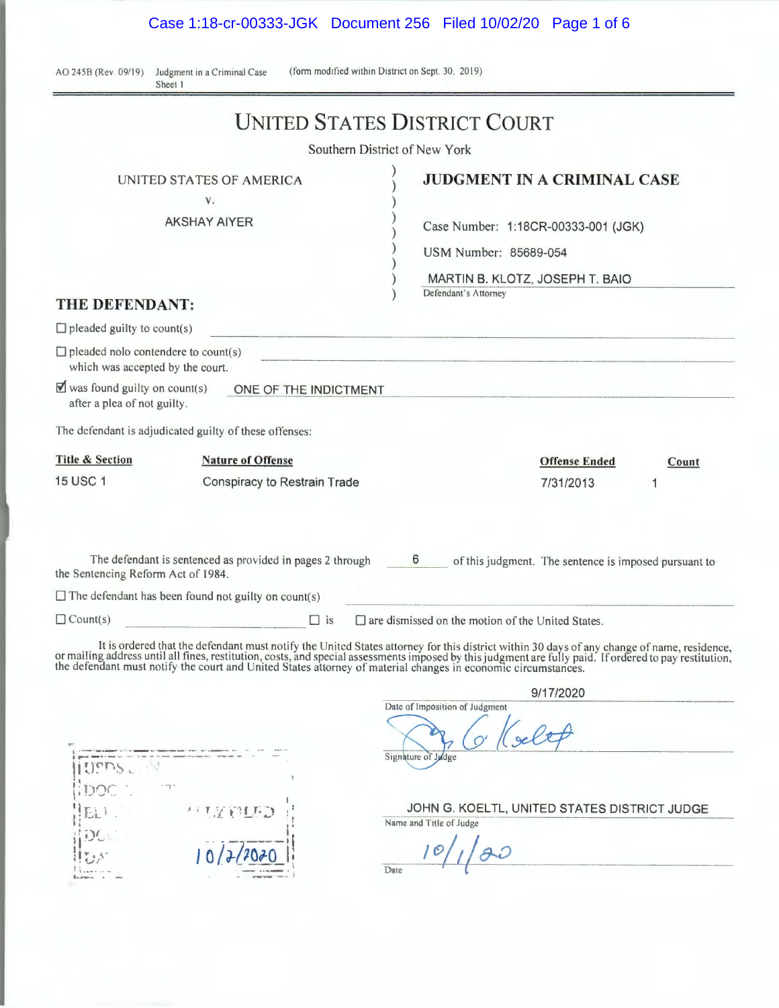Case 1:18-cr-00333-JGK Document 256 Filed 10/02/20 Page 1 of 6

AO 245B (Rev. 09/19) Judgment in a Criminal Case Sheet I

(form modified within District on Sept. 30, 2019)

|                                                                                                                                                              | UNITED STATES DISTRICT COURT                                                                                                                                                                                                                |                                                          |                                                                                                              |       |
|--------------------------------------------------------------------------------------------------------------------------------------------------------------|---------------------------------------------------------------------------------------------------------------------------------------------------------------------------------------------------------------------------------------------|----------------------------------------------------------|--------------------------------------------------------------------------------------------------------------|-------|
|                                                                                                                                                              | Southern District of New York                                                                                                                                                                                                               |                                                          |                                                                                                              |       |
| THE DEFENDANT:                                                                                                                                               | UNITED STATES OF AMERICA<br>V.<br><b>AKSHAY AIYER</b>                                                                                                                                                                                       | USM Number: 85689-054<br>Defendant's Attorney            | <b>JUDGMENT IN A CRIMINAL CASE</b><br>Case Number: 1:18CR-00333-001 (JGK)<br>MARTIN B. KLOTZ, JOSEPH T. BAIO |       |
| $\Box$ pleaded guilty to count(s)                                                                                                                            |                                                                                                                                                                                                                                             |                                                          |                                                                                                              |       |
| $\Box$ pleaded nolo contendere to count(s)<br>which was accepted by the court.<br>$\blacksquare$ was found guilty on count(s)<br>after a plea of not guilty. | ONE OF THE INDICTMENT<br>The defendant is adjudicated guilty of these offenses:                                                                                                                                                             |                                                          |                                                                                                              |       |
| <b>Title &amp; Section</b><br><b>15 USC 1</b>                                                                                                                | <b>Nature of Offense</b><br>Conspiracy to Restrain Trade                                                                                                                                                                                    |                                                          | <b>Offense Ended</b><br>7/31/2013                                                                            | Count |
| the Sentencing Reform Act of 1984.                                                                                                                           | The defendant is sentenced as provided in pages 2 through 6                                                                                                                                                                                 |                                                          | of this judgment. The sentence is imposed pursuant to                                                        |       |
|                                                                                                                                                              | $\Box$ The defendant has been found not guilty on count(s)                                                                                                                                                                                  |                                                          |                                                                                                              |       |
| $\Box$ Count(s)                                                                                                                                              | $\Box$ is<br>It is ordered that the defendant must notify the United States attorney for this district within 30 days of any change of name, residence, or mailing address until all fines, restitution, costs, and special assessments imp | $\Box$ are dismissed on the motion of the United States. |                                                                                                              |       |

Date of Imposition of Judgment *n* of Judgment<br>
C' (selet) <sup>~</sup>·-·-~--··~- --~-- <sup>~</sup>- ·- -· ·· - -~ ll ...... - \_ ,,. , \_,. • • • - - <sup>~</sup>- - <sup>~</sup> - ·-•- Signature of Judge ||USDS . T'  $\Gamma$ t • , T ,/ f: !\_f, *:\_)* <sup>l</sup> JOHN G. KOELTL, UNITED STATES DISTRICT JUDGE  $\mathrm{EL}$  ). . ! Name and Title of Judge  $\lim_{\epsilon \to 0}$  $1 - 3 - - - 11$  $_{\rm H}$  DC .  $101$  $100$  $10/7/2070$  $\parallel$  that  $\cdot$ - ---.,,\_.\_- - ,I · ~ ~ ' ..\_ .. . :!-- · . - Date

9/17/2020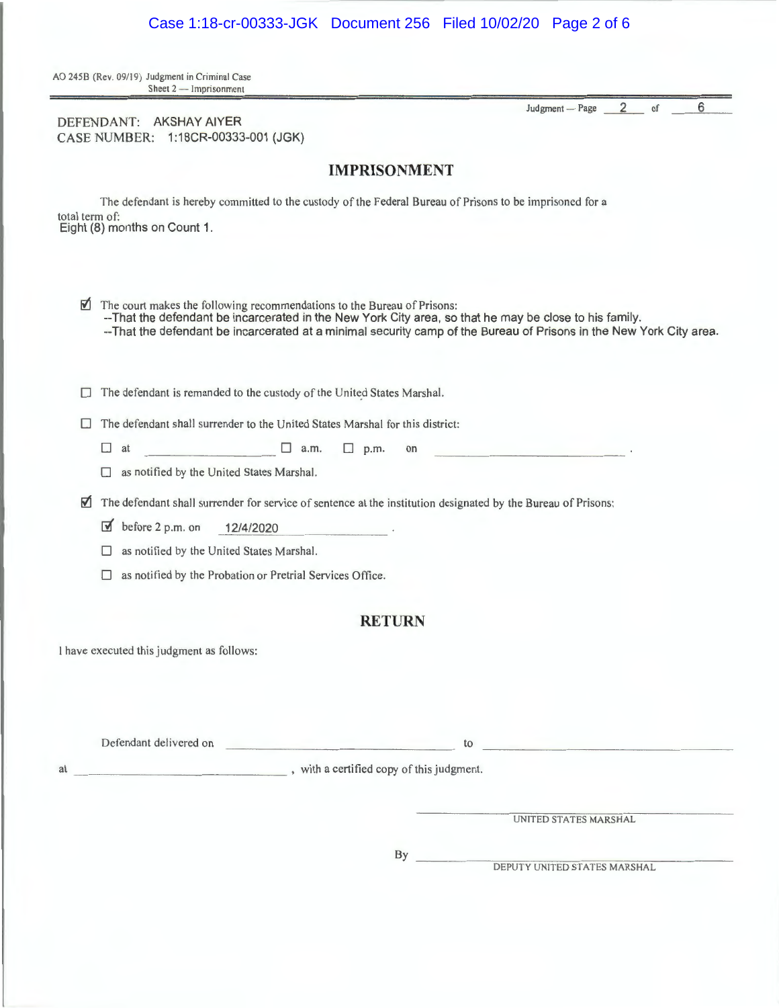|                       | DEFENDANT: AKSHAY AIYER<br>CASE NUMBER: 1:18CR-00333-001 (JGK)                                                                                                                                                                                                                                            |
|-----------------------|-----------------------------------------------------------------------------------------------------------------------------------------------------------------------------------------------------------------------------------------------------------------------------------------------------------|
|                       | <b>IMPRISONMENT</b>                                                                                                                                                                                                                                                                                       |
| total term of:        | The defendant is hereby committed to the custody of the Federal Bureau of Prisons to be imprisoned for a<br>Eight (8) months on Count 1.                                                                                                                                                                  |
| ☑                     | The court makes the following recommendations to the Bureau of Prisons:<br>--That the defendant be incarcerated in the New York City area, so that he may be close to his family.<br>-- That the defendant be incarcerated at a minimal security camp of the Bureau of Prisons in the New York City area. |
| u                     | The defendant is remanded to the custody of the United States Marshal.                                                                                                                                                                                                                                    |
| Ш<br>$\Box$<br>П      | The defendant shall surrender to the United States Marshal for this district:<br>$\Box$ a.m.<br>$\Box$ p.m.<br>at<br>on<br>and the same of the stage of the<br>as notified by the United States Marshal.                                                                                                  |
| M<br>☑<br>П<br>$\Box$ | The defendant shall surrender for service of sentence at the institution designated by the Bureau of Prisons:<br>before 2 p.m. on<br>12/4/2020<br>as notified by the United States Marshal.<br>as notified by the Probation or Pretrial Services Office.                                                  |
|                       | <b>RETURN</b>                                                                                                                                                                                                                                                                                             |
|                       | I have executed this judgment as follows:                                                                                                                                                                                                                                                                 |
|                       | <u> 1989 - James Maria Barbara, martxa</u><br>to the contract of the contract of the contract of the contract of the contract of the contract of the contract of the contract of the contract of the contract of the contract of the contract of the contract of the contrac<br>Defendant delivered on    |
|                       |                                                                                                                                                                                                                                                                                                           |
|                       | UNITED STATES MARSHAL                                                                                                                                                                                                                                                                                     |
|                       | DEPUTY UNITED STATES MARSHAL                                                                                                                                                                                                                                                                              |

# Case 1:18-cr-00333-JGK Document 256 Filed 10/02/20 Page 2 of 6

AO 245B (Rev. 09/19) Judgment in Criminal Case

Sheet 2 - Imprisonment

Judgment – Page  $2$  of 6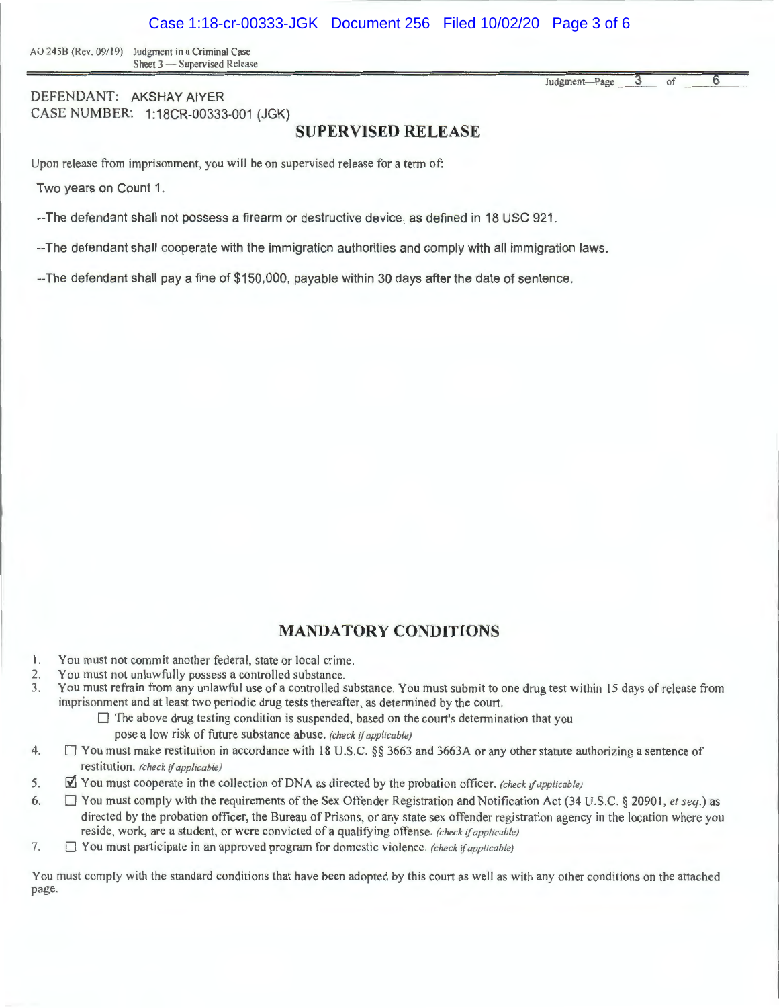AO 245B (Rev. 09/19) Judgment in a Criminal Case Sheet 3 - Supervised Release

DEFENDANT: AKSHAY AIYER CASE NUMBER: 1:18CR-00333-001 (JGK)

#### **SUPERVISED RELEASE**

Upon release from imprisonment, you will be on supervised release for a term of:

Two years on Count 1.

--The defendant shall not possess a firearm or destructive device, as defined in 18 USC 921.

--The defendant shall cooperate with the immigration authorities and comply with all immigration laws.

--The defendant shall pay a fine of \$150,000, payable within 30 days after the date of sentence.

### **MANDATORY CONDITIONS**

- 1. You must not commit another federal, state or local crime.
- 2. You must not unlawfully possess a controlled substance.
- 3. You must refrain from any unlawful use ofa controlled substance. You must submit to one drug test within 15 days of release from imprisonment and at least two periodic drug tests thereafter, as determined by the court.
	- $\square$  The above drug testing condition is suspended, based on the court's determination that you pose a low risk of future substance abuse. *(check* if *applicable)*
- 4.  $\Box$  You must make restitution in accordance with 18 U.S.C. §§ 3663 and 3663A or any other statute authorizing a sentence of restitution . *(check* if *applicable)*
- 5. **If** You must cooperate in the collection of DNA as directed by the probation officer. *(check if applicable)*
- 6. D You must comply with the requirements of the Sex Offender Registration and Notification Act (34 U.S.C. § 20901, *et seq.)* as directed by the probation officer, the Bureau of Prisons, or any state sex offender registration agency in the location where you reside, work, are a student, or were convicted of a qualifying offense. (check if applicable)
- 7. D You must participate in an approved program for domestic violence. *(check* if *applicable)*

You must comply with the standard conditions that have been adopted by this court as well as with any other conditions on the attached page.

Judgment-Page 3 of 6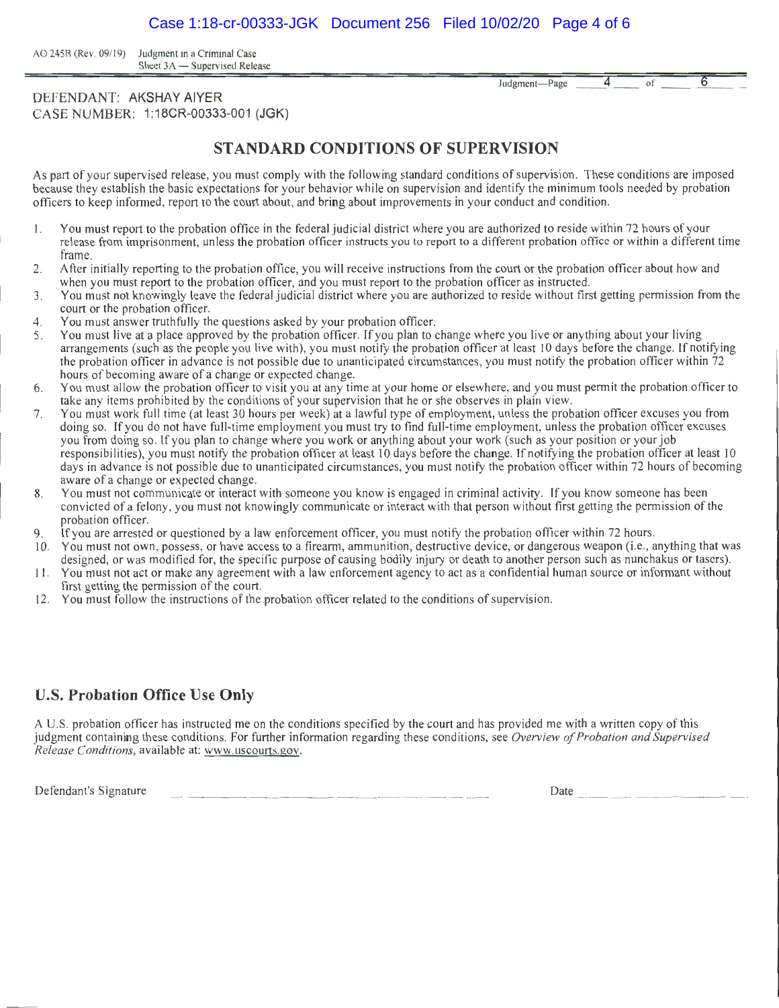AO 245B (Rev. 09/19) Judgment in a Criminal Case Sheet 3A - Supervised Release

Judgment- Page

 $4$  of 6

#### DEFENDANT: AKSHAY AIYER CASE NUMBER: 1 :18CR-00333-001 (JGK)

## **STANDARD CONDITIONS OF SUPERVISION**

As part of your supervised release, you must comply with the following standard conditions of supervision. These conditions are imposed because they establish the basic expectations for your behavior while on supervision and identify the minimum tools needed by probation officers to keep informed, report to the court about, and bring about improvements in your conduct and condition.

- I. You must report to the probation office in the federal judicial district where you are authorized to reside within 72 hours of your release from imprisonment, unless the probation officer instructs you to report to a different probation office or within a different time frame.
- 2. After initially reporting to the probation office, you will receive instructions from the court or the probation officer about how and when you must report to the probation officer, and you must report to the probation officer as instructed.
- 3. You must not knowingly leave the federal judicial district where you are authorized to reside without first getting permission from the court or the probation officer.
- 4. You must answer truthfully the questions asked by your probation officer.
- 5. You must live at a place approved by the probation officer. If you plan to change where you live or anything about your living arrangements (such as the people you live with), you must notify the probation officer at least IO days before the change. If notifying the probation officer in advance is not possible due to unanticipated circumstances, you must notify the probation officer within 72 hours of becoming aware of a change or expected change.
- 6. You must allow the probation officer to visit you at any time at your home or elsewhere, and you must permit the probation officer to take any items prohibited by the conditions of your supervision that he or she observes in plain view.
- 7. You must work full time (at least 30 hours per week) at a lawful type of employment, unless the probation officer excuses you from doing so. If you do not have full-time employment you must try to find full-time employment, unless the probation officer excuses you from doing so. If you plan to change where you work or anything about your work (such as your position or your job responsibilities), you must notify the probation officer at least 10 days before the change. If notifying the probation officer at least 10 days in advance is not possible due to unanticipated circumstances, you must notify the probation officer within 72 hours of becoming aware of a change or expected change.
- 8. You must not communicate or interact with someone you know is engaged in criminal activity. If you know someone has been convicted of a felony , you must not knowingly communicate or interact with that person without first getting the permission of the probation officer.
- 9. If you are arrested or questioned by a law enforcement officer, you must notify the probation officer within 72 hours.
- 10. You must not own, possess, or have access to a firearm, ammunition, destructive device, or dangerous weapon (i.e., anything that was designed, or was modified for, the specific purpose of causing bodily injury or death to another person such as nunchakus or tasers).
- 11 . You must not act or make any agreement with a law enforcement agency to act as a confidential human source or informant without first getting the permission of the court.
- 12. You must follow the instructions of the probation officer related to the conditions of supervision.

### **U.S. Probation Office Use Only**

A U.S. probation officer has instructed me on the conditions specified by the court and has provided me with a written copy of this judgment containing these conditions. For further information regarding these conditions, see *Overview of Probation and Supervised Release Conditions,* available at: www.uscourts.gov.

Defendant's Signature  $\frac{1}{2}$   $\frac{1}{2}$   $\frac{1}{2}$   $\frac{1}{2}$   $\frac{1}{2}$   $\frac{1}{2}$   $\frac{1}{2}$   $\frac{1}{2}$   $\frac{1}{2}$   $\frac{1}{2}$   $\frac{1}{2}$   $\frac{1}{2}$   $\frac{1}{2}$   $\frac{1}{2}$   $\frac{1}{2}$   $\frac{1}{2}$   $\frac{1}{2}$   $\frac{1}{2}$   $\frac{1}{2}$   $\frac{1}{2}$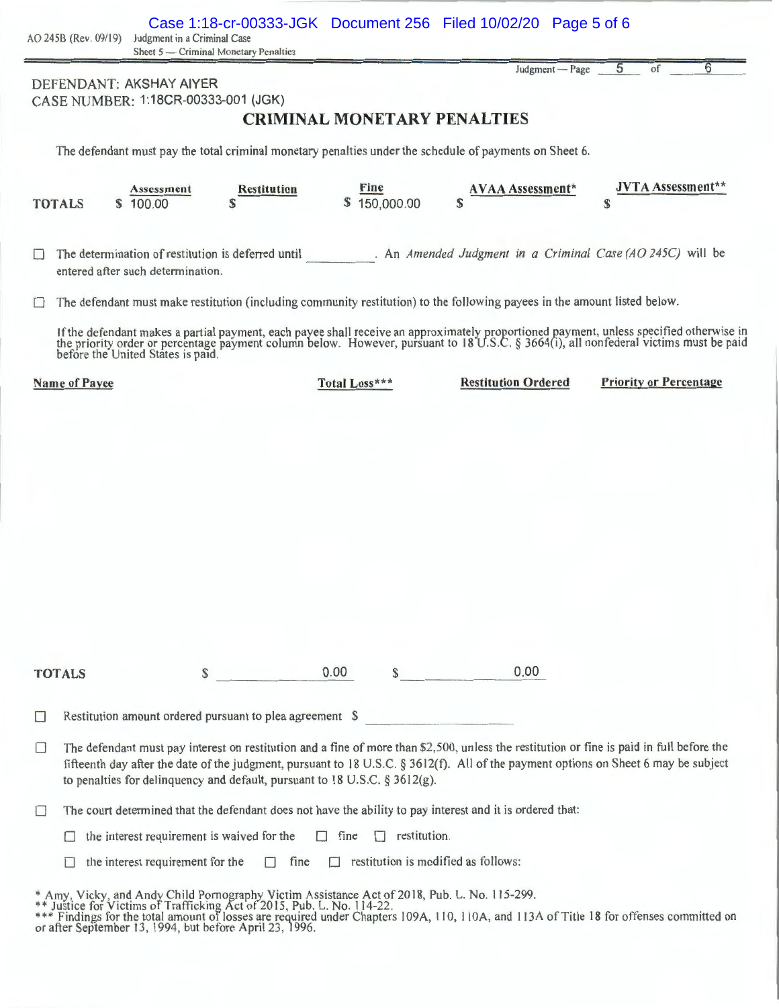|               |                                                                                                                                                                                                                                                                                                                                                                | DEFENDANT: AKSHAY AIYER<br>CASE NUMBER: 1:18CR-00333-001 (JGK) |                                                                                                                           |               |                     | <b>CRIMINAL MONETARY PENALTIES</b>         | Judgment - Page            | 5<br>6<br>of                                                                                                                                                                                                                     |
|---------------|----------------------------------------------------------------------------------------------------------------------------------------------------------------------------------------------------------------------------------------------------------------------------------------------------------------------------------------------------------------|----------------------------------------------------------------|---------------------------------------------------------------------------------------------------------------------------|---------------|---------------------|--------------------------------------------|----------------------------|----------------------------------------------------------------------------------------------------------------------------------------------------------------------------------------------------------------------------------|
|               |                                                                                                                                                                                                                                                                                                                                                                |                                                                | The defendant must pay the total criminal monetary penalties under the schedule of payments on Sheet 6.                   |               |                     |                                            |                            |                                                                                                                                                                                                                                  |
| <b>TOTALS</b> | S                                                                                                                                                                                                                                                                                                                                                              | Assessment<br>100.00                                           | Restitution<br>\$.                                                                                                        |               | Fine<br>150,000.00  | S                                          | <b>AVAA Assessment*</b>    | <b>JVTA Assessment*</b><br>S                                                                                                                                                                                                     |
|               |                                                                                                                                                                                                                                                                                                                                                                | entered after such determination.                              | The determination of restitution is deferred until                                                                        |               |                     |                                            |                            | . An Amended Judgment in a Criminal Case (AO 245C) will be                                                                                                                                                                       |
|               |                                                                                                                                                                                                                                                                                                                                                                |                                                                | The defendant must make restitution (including community restitution) to the following payees in the amount listed below. |               |                     |                                            |                            |                                                                                                                                                                                                                                  |
|               |                                                                                                                                                                                                                                                                                                                                                                | before the United States is paid.                              |                                                                                                                           |               |                     |                                            |                            | If the defendant makes a partial payment, each payee shall receive an approximately proportioned payment, unless specified otherwise in<br>the priority order or percentage payment column below. However, pursuant to 18 U.S.C. |
|               | <b>Name of Payee</b>                                                                                                                                                                                                                                                                                                                                           |                                                                |                                                                                                                           | Total Loss*** |                     |                                            | <b>Restitution Ordered</b> | <b>Priority or Percentage</b>                                                                                                                                                                                                    |
|               |                                                                                                                                                                                                                                                                                                                                                                |                                                                |                                                                                                                           |               |                     |                                            |                            |                                                                                                                                                                                                                                  |
| <b>TOTALS</b> |                                                                                                                                                                                                                                                                                                                                                                | \$                                                             |                                                                                                                           | 0.00          | $\mathbb{S}$        |                                            | 0.00                       |                                                                                                                                                                                                                                  |
| <b>COL</b>    |                                                                                                                                                                                                                                                                                                                                                                |                                                                | Restitution amount ordered pursuant to plea agreement \$                                                                  |               |                     |                                            |                            |                                                                                                                                                                                                                                  |
|               | The defendant must pay interest on restitution and a fine of more than \$2,500, unless the restitution or fine is paid in full before the<br>fifteenth day after the date of the judgment, pursuant to 18 U.S.C. § 3612(f). All of the payment options on Sheet 6 may be subject<br>to penalties for delinquency and default, pursuant to 18 U.S.C. § 3612(g). |                                                                |                                                                                                                           |               |                     |                                            |                            |                                                                                                                                                                                                                                  |
|               | The court determined that the defendant does not have the ability to pay interest and it is ordered that:                                                                                                                                                                                                                                                      |                                                                |                                                                                                                           |               |                     |                                            |                            |                                                                                                                                                                                                                                  |
|               |                                                                                                                                                                                                                                                                                                                                                                |                                                                | the interest requirement is waived for the                                                                                | $\Box$ fine   | $\Box$ restitution. |                                            |                            |                                                                                                                                                                                                                                  |
|               |                                                                                                                                                                                                                                                                                                                                                                | the interest requirement for the                               | П<br>fine                                                                                                                 |               |                     | $\Box$ restitution is modified as follows: |                            |                                                                                                                                                                                                                                  |